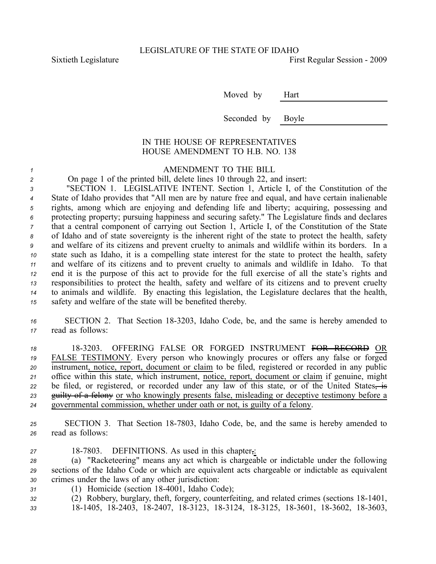Sixtieth Legislature **First** Regular Session - 2009

Moved by Hart

Seconded by Boyle

## IN THE HOUSE OF REPRESENTATIVES HOUSE AMENDMENT TO H.B. NO. 138

*<sup>1</sup>* AMENDMENT TO THE BILL

*<sup>2</sup>* On page 1 of the printed bill, delete lines 10 through 22, and insert:

 "SECTION 1. LEGISLATIVE INTENT. Section 1, Article I, of the Constitution of the State of Idaho provides that "All men are by nature free and equal, and have certain inalienable rights, among which are enjoying and defending life and liberty; acquiring, possessing and protecting property; pursuing happiness and securing safety." The Legislature finds and declares that <sup>a</sup> central componen<sup>t</sup> of carrying out Section 1, Article I, of the Constitution of the State of Idaho and of state sovereignty is the inherent right of the state to protect the health, safety and welfare of its citizens and preven<sup>t</sup> cruelty to animals and wildlife within its borders. In <sup>a</sup> state such as Idaho, it is <sup>a</sup> compelling state interest for the state to protect the health, safety and welfare of its citizens and to preven<sup>t</sup> cruelty to animals and wildlife in Idaho. To that end it is the purpose of this act to provide for the full exercise of all the state's rights and responsibilities to protect the health, safety and welfare of its citizens and to preven<sup>t</sup> cruelty to animals and wildlife. By enacting this legislation, the Legislature declares that the health, safety and welfare of the state will be benefited thereby.

*<sup>16</sup>* SECTION 2. That Section 183203, Idaho Code, be, and the same is hereby amended to *<sup>17</sup>* read as follows:

 183203. OFFERING FALSE OR FORGED INSTRUMENT FOR RECORD OR FALSE TESTIMONY. Every person who knowingly procures or offers any false or forged instrument, notice, report, document or claim to be filed, registered or recorded in any public office within this state, which instrument, notice, report, document or claim if genuine, might 22 be filed, or registered, or recorded under any law of this state, or of the United States, is guilty of <sup>a</sup> felony or who knowingly presents false, misleading or deceptive testimony before <sup>a</sup> governmental commission, whether under oath or not, is guilty of <sup>a</sup> felony.

*<sup>25</sup>* SECTION 3. That Section 187803, Idaho Code, be, and the same is hereby amended to *<sup>26</sup>* read as follows:

27 18-7803. DEFINITIONS. As used in this chapter,:

*<sup>28</sup>* (a) "Racketeering" means any act which is chargeable or indictable under the following *<sup>29</sup>* sections of the Idaho Code or which are equivalent acts chargeable or indictable as equivalent *<sup>30</sup>* crimes under the laws of any other jurisdiction:

*<sup>31</sup>* (1) Homicide (section 184001, Idaho Code);

*<sup>32</sup>* (2) Robbery, burglary, theft, forgery, counterfeiting, and related crimes (sections 181401,

*<sup>33</sup>* 181405, 182403, 182407, 183123, 183124, 183125, 183601, 183602, 183603,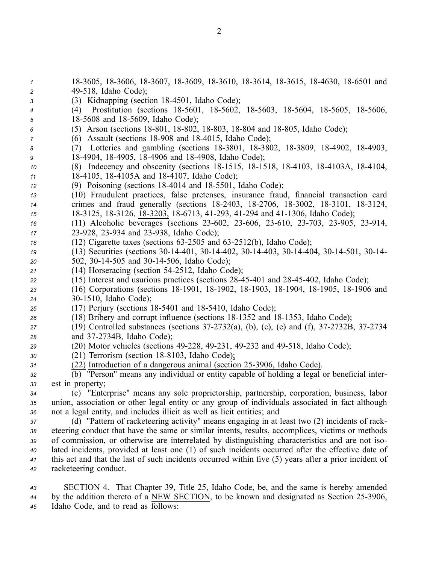18-3605, 18-3606, 18-3607, 18-3609, 18-3610, 18-3614, 18-3615, 18-4630, 18-6501 and 49518, Idaho Code); (3) Kidnapping (section 184501, Idaho Code); (4) Prostitution (sections 18-5601, 18-5602, 18-5603, 18-5604, 18-5605, 18-5606, 185608 and 185609, Idaho Code); 6 (5) Arson (sections 18-801, 18-802, 18-803, 18-804 and 18-805, Idaho Code); (6) Assault (sections 18-908 and 18-4015, Idaho Code); 8 (7) Lotteries and gambling (sections 18-3801, 18-3802, 18-3809, 18-4902, 18-4903, 184904, 184905, 184906 and 184908, Idaho Code); (8) Indecency and obscenity (sections 18-1515, 18-1518, 18-4103, 18-4103A, 18-4104, 184105, 184105A and 184107, Idaho Code); (9) Poisoning (sections 184014 and 185501, Idaho Code); (10) Fraudulent practices, false pretenses, insurance fraud, financial transaction card crimes and fraud generally (sections 18-2403, 18-2706, 18-3002, 18-3101, 18-3124, 15 18-3125, 18-3126, 18-3203, 18-6713, 41-293, 41-294 and 41-1306, Idaho Code); (11) Alcoholic beverages (sections 23-602, 23-606, 23-610, 23-703, 23-905, 23-914, 23-928, 23-934 and 23-938, Idaho Code); (12) Cigarette taxes (sections 63-2505 and 63-2512(b), Idaho Code); (13) Securities (sections 30-14-401, 30-14-402, 30-14-403, 30-14-404, 30-14-501, 30-14- 502, 30-14-505 and 30-14-506, Idaho Code); (14) Horseracing (section 542512, Idaho Code); (15) Interest and usurious practices (sections 2845401 and 2845402, Idaho Code); (16) Corporations (sections 181901, 181902, 181903, 181904, 181905, 181906 and 301510, Idaho Code); (17) Perjury (sections 18-5401 and 18-5410, Idaho Code); (18) Bribery and corrup<sup>t</sup> influence (sections 181352 and 181353, Idaho Code); (19) Controlled substances (sections 37-2732(a), (b), (c), (e) and (f), 37-2732B, 37-2734 28 and 37-2734B, Idaho Code); (20) Motor vehicles (sections 49228, 49231, 49232 and 49518, Idaho Code); (21) Terrorism (section 18-8103, Idaho Code); (22) Introduction of a dangerous animal (section 25-3906, Idaho Code). (b) "Person" means any individual or entity capable of holding <sup>a</sup> legal or beneficial inter- est in property; (c) "Enterprise" means any sole proprietorship, partnership, corporation, business, labor union, association or other legal entity or any group of individuals associated in fact although not <sup>a</sup> legal entity, and includes illicit as well as licit entities; and (d) "Pattern of racketeering activity" means engaging in at least two (2) incidents of rack- eteering conduct that have the same or similar intents, results, accomplices, victims or methods of commission, or otherwise are interrelated by distinguishing characteristics and are not iso- lated incidents, provided at least one (1) of such incidents occurred after the effective date of this act and that the last of such incidents occurred within five (5) years after <sup>a</sup> prior incident of racketeering conduct. SECTION 4. That Chapter 39, Title 25, Idaho Code, be, and the same is hereby amended

44 by the addition thereto of a <u>NEW SECTION</u>, to be known and designated as Section 25-3906, *<sup>45</sup>* Idaho Code, and to read as follows: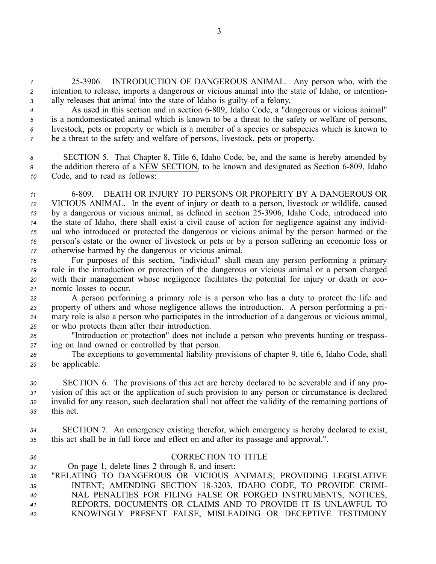*<sup>1</sup>* 253906. INTRODUCTION OF DANGEROUS ANIMAL. Any person who, with the *<sup>2</sup>* intention to release, imports <sup>a</sup> dangerous or vicious animal into the state of Idaho, or intention-*<sup>3</sup>* ally releases that animal into the state of Idaho is guilty of <sup>a</sup> felony.

 As used in this section and in section 6809, Idaho Code, <sup>a</sup> "dangerous or vicious animal" is <sup>a</sup> nondomesticated animal which is known to be <sup>a</sup> threat to the safety or welfare of persons, livestock, pets or property or which is <sup>a</sup> member of <sup>a</sup> species or subspecies which is known to be <sup>a</sup> threat to the safety and welfare of persons, livestock, pets or property.

*<sup>8</sup>* SECTION 5. That Chapter 8, Title 6, Idaho Code, be, and the same is hereby amended by <sup>9</sup> the addition thereto of a NEW SECTION, to be known and designated as Section 6-809, Idaho *<sup>10</sup>* Code, and to read as follows:

 6809. DEATH OR INJURY TO PERSONS OR PROPERTY BY A DANGEROUS OR VICIOUS ANIMAL. In the event of injury or death to <sup>a</sup> person, livestock or wildlife, caused <sup>13</sup> by a dangerous or vicious animal, as defined in section 25-3906, Idaho Code, introduced into the state of Idaho, there shall exist <sup>a</sup> civil cause of action for negligence against any individ- ual who introduced or protected the dangerous or vicious animal by the person harmed or the person's estate or the owner of livestock or pets or by <sup>a</sup> person suffering an economic loss or otherwise harmed by the dangerous or vicious animal.

 For purposes of this section, "individual" shall mean any person performing <sup>a</sup> primary role in the introduction or protection of the dangerous or vicious animal or <sup>a</sup> person charged with their managemen<sup>t</sup> whose negligence facilitates the potential for injury or death or eco-nomic losses to occur.

 A person performing <sup>a</sup> primary role is <sup>a</sup> person who has <sup>a</sup> duty to protect the life and property of others and whose negligence allows the introduction. A person performing <sup>a</sup> pri- mary role is also <sup>a</sup> person who participates in the introduction of <sup>a</sup> dangerous or vicious animal, or who protects them after their introduction.

*<sup>26</sup>* "Introduction or protection" does not include <sup>a</sup> person who prevents hunting or trespass-*<sup>27</sup>* ing on land owned or controlled by that person.

*<sup>28</sup>* The exceptions to governmental liability provisions of chapter 9, title 6, Idaho Code, shall *<sup>29</sup>* be applicable.

 SECTION 6. The provisions of this act are hereby declared to be severable and if any pro- vision of this act or the application of such provision to any person or circumstance is declared invalid for any reason, such declaration shall not affect the validity of the remaining portions of this act.

*<sup>34</sup>* SECTION 7. An emergency existing therefor, which emergency is hereby declared to exist, *<sup>35</sup>* this act shall be in full force and effect on and after its passage and approval.".

## *36* CORRECTION TO TITLE

*<sup>37</sup>* On page 1, delete lines 2 through 8, and insert:

 "RELATING TO DANGEROUS OR VICIOUS ANIMALS; PROVIDING LEGISLATIVE INTENT; AMENDING SECTION 183203, IDAHO CODE, TO PROVIDE CRIMI- NAL PENALTIES FOR FILING FALSE OR FORGED INSTRUMENTS, NOTICES, REPORTS, DOCUMENTS OR CLAIMS AND TO PROVIDE IT IS UNLAWFUL TO KNOWINGLY PRESENT FALSE, MISLEADING OR DECEPTIVE TESTIMONY